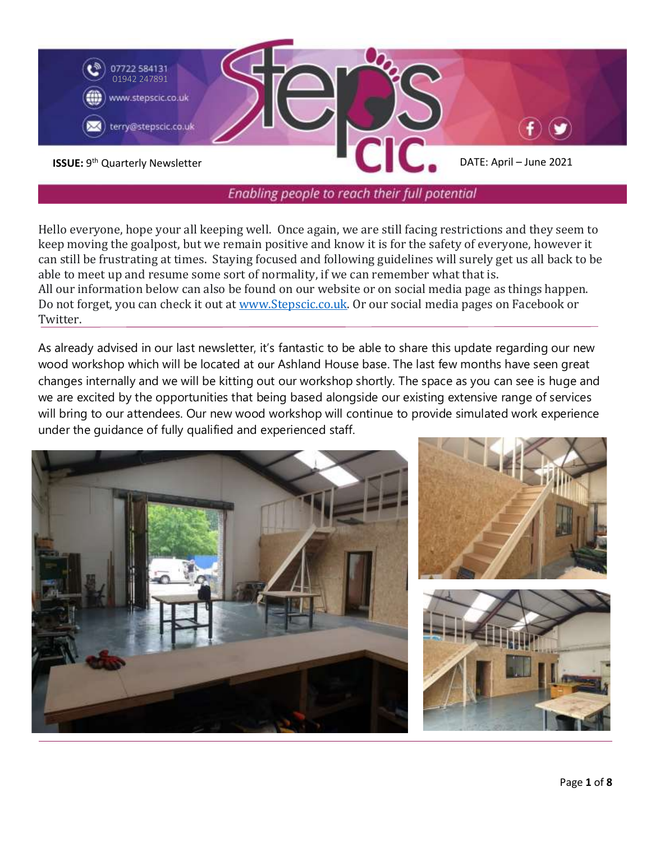

Enabling people to reach their full potential

Hello everyone, hope your all keeping well. Once again, we are still facing restrictions and they seem to keep moving the goalpost, but we remain positive and know it is for the safety of everyone, however it can still be frustrating at times. Staying focused and following guidelines will surely get us all back to be able to meet up and resume some sort of normality, if we can remember what that is. All our information below can also be found on our website or on social media page as things happen. Do not forget, you can check it out at [www.Stepscic.co.uk.](http://www.stepscic.co.uk/) Or our social media pages on Facebook or Twitter.

As already advised in our last newsletter, it's fantastic to be able to share this update regarding our new wood workshop which will be located at our Ashland House base. The last few months have seen great changes internally and we will be kitting out our workshop shortly. The space as you can see is huge and we are excited by the opportunities that being based alongside our existing extensive range of services will bring to our attendees. Our new wood workshop will continue to provide simulated work experience under the guidance of fully qualified and experienced staff.

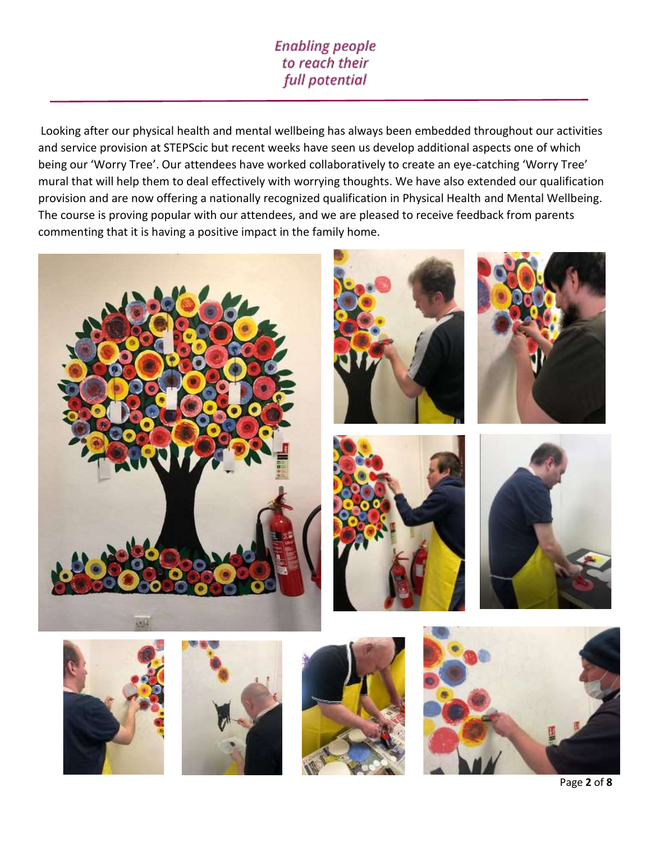## **Enabling people** to reach their full potential

Looking after our physical health and mental wellbeing has always been embedded throughout our activities and service provision at STEPScic but recent weeks have seen us develop additional aspects one of which being our 'Worry Tree'. Our attendees have worked collaboratively to create an eye-catching 'Worry Tree' mural that will help them to deal effectively with worrying thoughts. We have also extended our qualification provision and are now offering a nationally recognized qualification in Physical Health and Mental Wellbeing. The course is proving popular with our attendees, and we are pleased to receive feedback from parents commenting that it is having a positive impact in the family home.

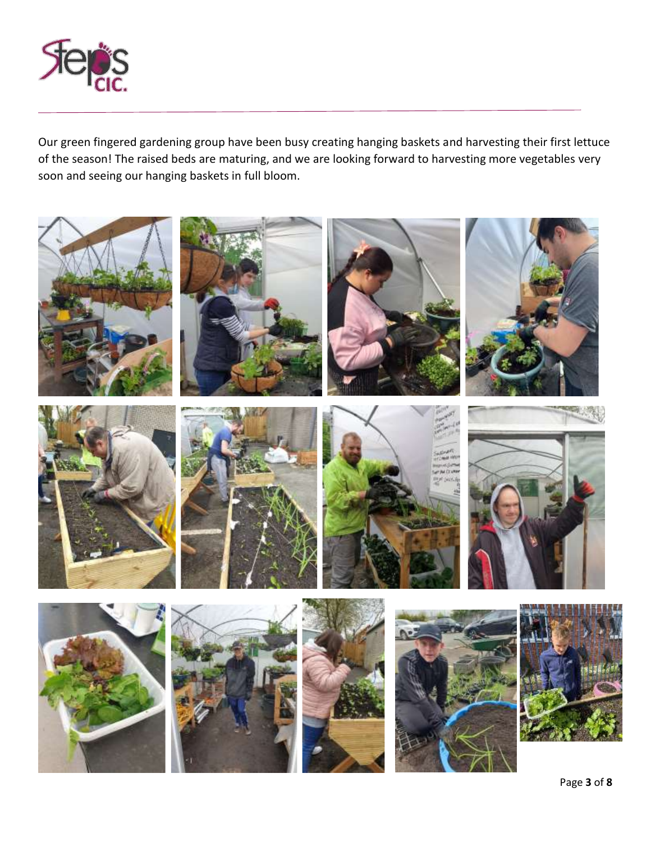

Our green fingered gardening group have been busy creating hanging baskets and harvesting their first lettuce of the season! The raised beds are maturing, and we are looking forward to harvesting more vegetables very soon and seeing our hanging baskets in full bloom.

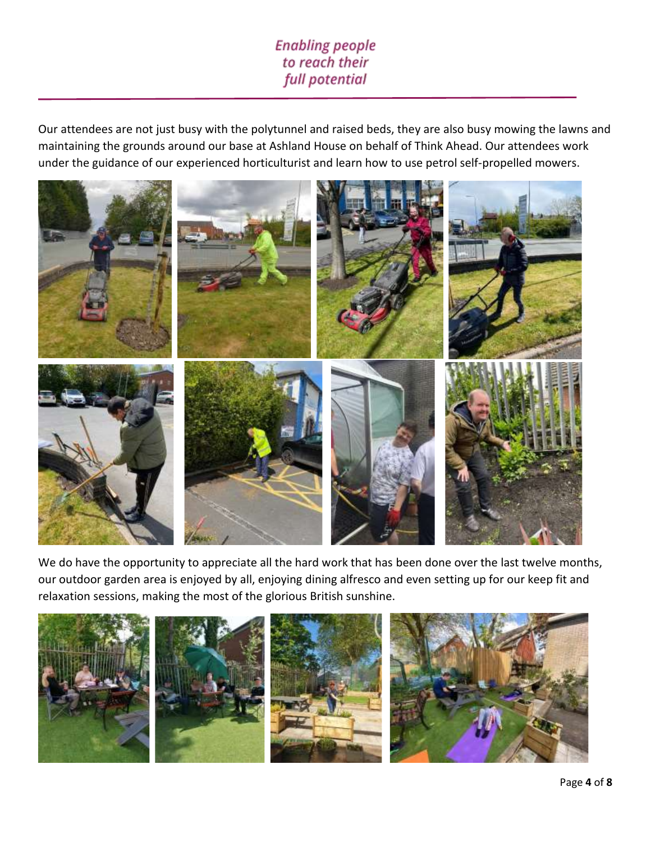## **Enabling people** to reach their full potential

Our attendees are not just busy with the polytunnel and raised beds, they are also busy mowing the lawns and maintaining the grounds around our base at Ashland House on behalf of Think Ahead. Our attendees work under the guidance of our experienced horticulturist and learn how to use petrol self-propelled mowers.



We do have the opportunity to appreciate all the hard work that has been done over the last twelve months, our outdoor garden area is enjoyed by all, enjoying dining alfresco and even setting up for our keep fit and relaxation sessions, making the most of the glorious British sunshine.

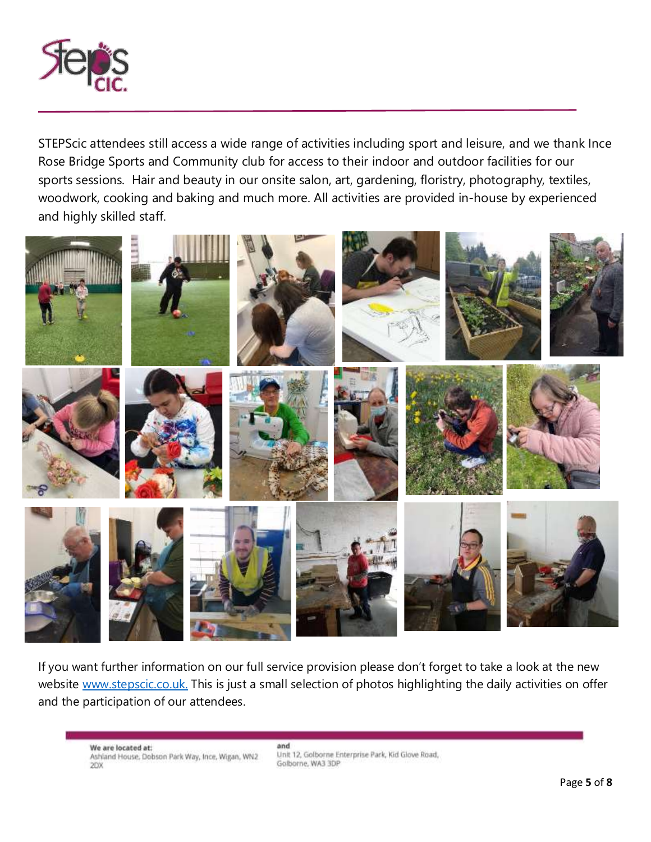

STEPScic attendees still access a wide range of activities including sport and leisure, and we thank Ince Rose Bridge Sports and Community club for access to their indoor and outdoor facilities for our sports sessions. Hair and beauty in our onsite salon, art, gardening, floristry, photography, textiles, woodwork, cooking and baking and much more. All activities are provided in-house by experienced and highly skilled staff.



If you want further information on our full service provision please don't forget to take a look at the new website [www.stepscic.co.uk.](http://www.stepscic.co.uk/?fbclid=IwAR0-7mzZG3sofVSqb4VSgeP5fBzUzFgz-jzI9nJop48bGH1_JvwoqcMqrFE) This is just a small selection of photos highlighting the daily activities on offer and the participation of our attendees.

We are located at: we are located at:<br>Ashland House, Dobson Park Way, Ince, Wigan, WN2<br>2DX

and Unit 12, Golborne Enterprise Park, Kid Glove Road, Golborne, WA3 3DP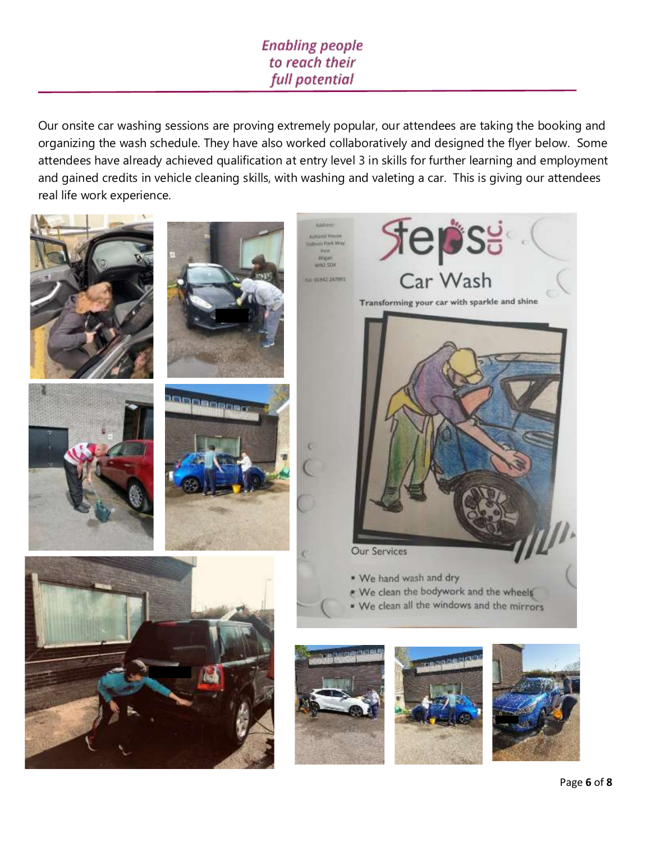## **Enabling people** to reach their full potential

Our onsite car washing sessions are proving extremely popular, our attendees are taking the booking and organizing the wash schedule. They have also worked collaboratively and designed the flyer below. Some attendees have already achieved qualification at entry level 3 in skills for further learning and employment and gained credits in vehicle cleaning skills, with washing and valeting a car. This is giving our attendees real life work experience.

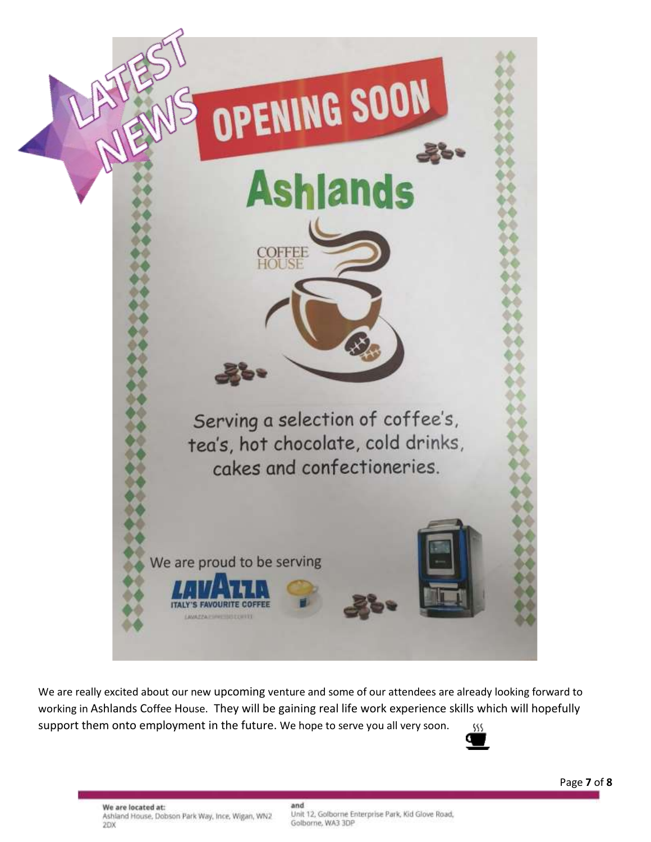

We are really excited about our new upcoming venture and some of our attendees are already looking forward to working in Ashlands Coffee House. They will be gaining real life work experience skills which will hopefully support them onto employment in the future. We hope to serve you all very soon. 38